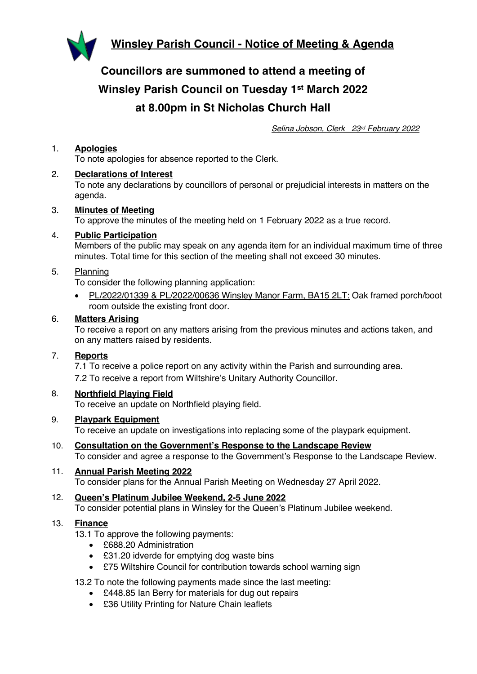

**Councillors are summoned to attend a meeting of Winsley Parish Council on Tuesday 1st March 2022 at 8.00pm in St Nicholas Church Hall**

*Selina Jobson, Clerk 23rd February 2022*

## 1. **Apologies**

To note apologies for absence reported to the Clerk.

### 2. **Declarations of Interest**

To note any declarations by councillors of personal or prejudicial interests in matters on the agenda.

### 3. **Minutes of Meeting**

To approve the minutes of the meeting held on 1 February 2022 as a true record.

### 4. **Public Participation**

Members of the public may speak on any agenda item for an individual maximum time of three minutes. Total time for this section of the meeting shall not exceed 30 minutes.

### 5. Planning

To consider the following planning application:

• PL/2022/01339 & PL/2022/00636 Winsley Manor Farm, BA15 2LT: Oak framed porch/boot room outside the existing front door.

### 6. **Matters Arising**

To receive a report on any matters arising from the previous minutes and actions taken, and on any matters raised by residents.

### 7. **Reports**

7.1 To receive a police report on any activity within the Parish and surrounding area. 7.2 To receive a report from Wiltshire's Unitary Authority Councillor.

## 8. **Northfield Playing Field**

To receive an update on Northfield playing field.

### 9. **Playpark Equipment**

To receive an update on investigations into replacing some of the playpark equipment.

### 10. **Consultation on the Government's Response to the Landscape Review**

To consider and agree a response to the Government's Response to the Landscape Review.

#### 11. **Annual Parish Meeting 2022** To consider plans for the Annual Parish Meeting on Wednesday 27 April 2022.

### 12. **Queen's Platinum Jubilee Weekend, 2-5 June 2022** To consider potential plans in Winsley for the Queen's Platinum Jubilee weekend.

### 13. **Finance**

13.1 To approve the following payments:

- £688.20 Administration
- £31.20 idverde for emptying dog waste bins
- £75 Wiltshire Council for contribution towards school warning sign

### 13.2 To note the following payments made since the last meeting:

- £448.85 Ian Berry for materials for dug out repairs
- £36 Utility Printing for Nature Chain leaflets